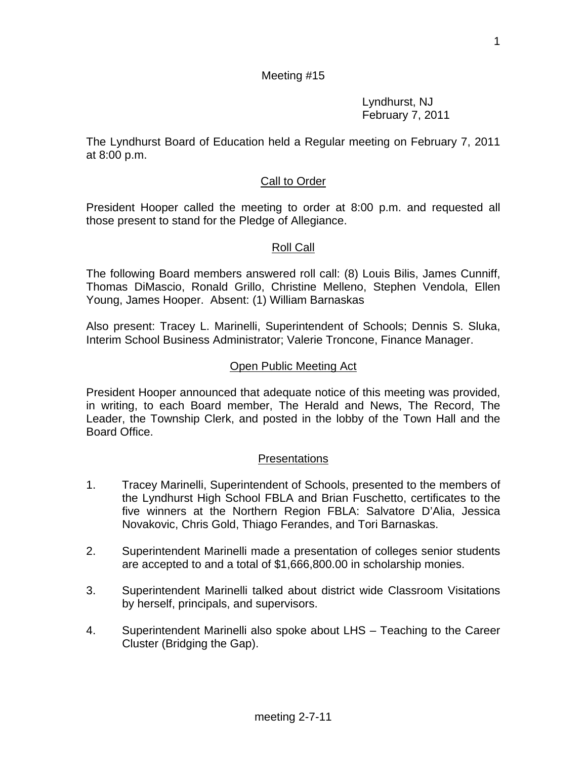1

# Meeting #15

 Lyndhurst, NJ February 7, 2011

The Lyndhurst Board of Education held a Regular meeting on February 7, 2011 at 8:00 p.m.

# Call to Order

President Hooper called the meeting to order at 8:00 p.m. and requested all those present to stand for the Pledge of Allegiance.

## Roll Call

The following Board members answered roll call: (8) Louis Bilis, James Cunniff, Thomas DiMascio, Ronald Grillo, Christine Melleno, Stephen Vendola, Ellen Young, James Hooper. Absent: (1) William Barnaskas

Also present: Tracey L. Marinelli, Superintendent of Schools; Dennis S. Sluka, Interim School Business Administrator; Valerie Troncone, Finance Manager.

## Open Public Meeting Act

President Hooper announced that adequate notice of this meeting was provided, in writing, to each Board member, The Herald and News, The Record, The Leader, the Township Clerk, and posted in the lobby of the Town Hall and the Board Office.

## Presentations

- 1. Tracey Marinelli, Superintendent of Schools, presented to the members of the Lyndhurst High School FBLA and Brian Fuschetto, certificates to the five winners at the Northern Region FBLA: Salvatore D'Alia, Jessica Novakovic, Chris Gold, Thiago Ferandes, and Tori Barnaskas.
- 2. Superintendent Marinelli made a presentation of colleges senior students are accepted to and a total of \$1,666,800.00 in scholarship monies.
- 3. Superintendent Marinelli talked about district wide Classroom Visitations by herself, principals, and supervisors.
- 4. Superintendent Marinelli also spoke about LHS Teaching to the Career Cluster (Bridging the Gap).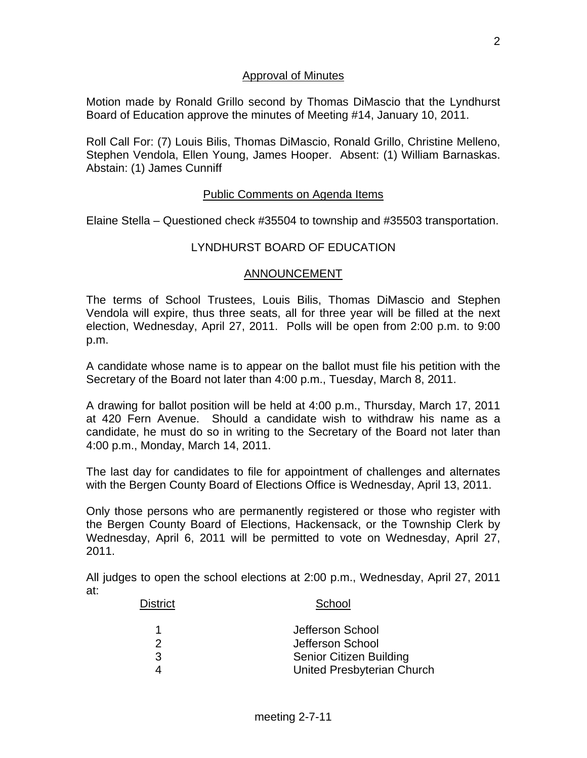### Approval of Minutes

Motion made by Ronald Grillo second by Thomas DiMascio that the Lyndhurst Board of Education approve the minutes of Meeting #14, January 10, 2011.

Roll Call For: (7) Louis Bilis, Thomas DiMascio, Ronald Grillo, Christine Melleno, Stephen Vendola, Ellen Young, James Hooper. Absent: (1) William Barnaskas. Abstain: (1) James Cunniff

#### Public Comments on Agenda Items

Elaine Stella – Questioned check #35504 to township and #35503 transportation.

## LYNDHURST BOARD OF EDUCATION

#### ANNOUNCEMENT

The terms of School Trustees, Louis Bilis, Thomas DiMascio and Stephen Vendola will expire, thus three seats, all for three year will be filled at the next election, Wednesday, April 27, 2011. Polls will be open from 2:00 p.m. to 9:00 p.m.

A candidate whose name is to appear on the ballot must file his petition with the Secretary of the Board not later than 4:00 p.m., Tuesday, March 8, 2011.

A drawing for ballot position will be held at 4:00 p.m., Thursday, March 17, 2011 at 420 Fern Avenue. Should a candidate wish to withdraw his name as a candidate, he must do so in writing to the Secretary of the Board not later than 4:00 p.m., Monday, March 14, 2011.

The last day for candidates to file for appointment of challenges and alternates with the Bergen County Board of Elections Office is Wednesday, April 13, 2011.

Only those persons who are permanently registered or those who register with the Bergen County Board of Elections, Hackensack, or the Township Clerk by Wednesday, April 6, 2011 will be permitted to vote on Wednesday, April 27, 2011.

All judges to open the school elections at 2:00 p.m., Wednesday, April 27, 2011 at:

# District School

|    | Jefferson School           |
|----|----------------------------|
|    | Jefferson School           |
| -3 | Senior Citizen Building    |
|    | United Presbyterian Church |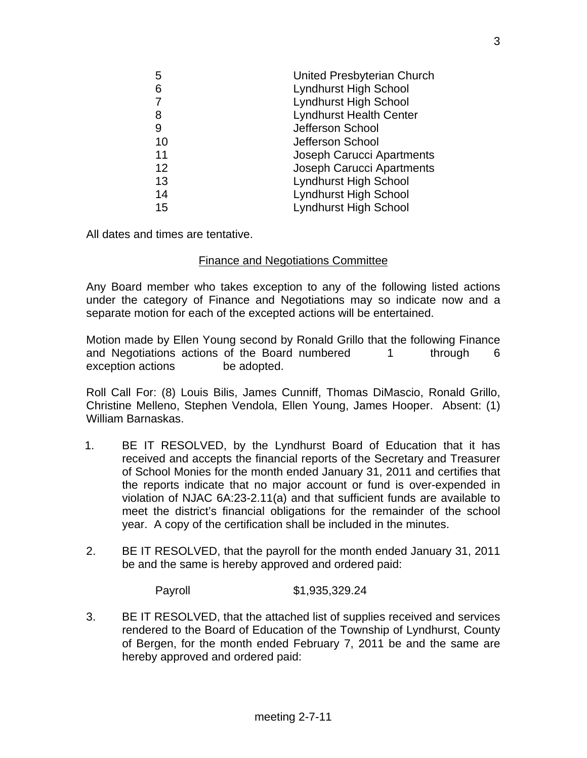| 5  | United Presbyterian Church       |
|----|----------------------------------|
| 6  | <b>Lyndhurst High School</b>     |
| 7  | <b>Lyndhurst High School</b>     |
| 8  | <b>Lyndhurst Health Center</b>   |
| 9  | Jefferson School                 |
| 10 | Jefferson School                 |
| 11 | <b>Joseph Carucci Apartments</b> |
| 12 | <b>Joseph Carucci Apartments</b> |
| 13 | <b>Lyndhurst High School</b>     |
| 14 | <b>Lyndhurst High School</b>     |
| 15 | <b>Lyndhurst High School</b>     |

All dates and times are tentative.

## Finance and Negotiations Committee

Any Board member who takes exception to any of the following listed actions under the category of Finance and Negotiations may so indicate now and a separate motion for each of the excepted actions will be entertained.

Motion made by Ellen Young second by Ronald Grillo that the following Finance and Negotiations actions of the Board numbered 1 through 6 exception actions be adopted.

Roll Call For: (8) Louis Bilis, James Cunniff, Thomas DiMascio, Ronald Grillo, Christine Melleno, Stephen Vendola, Ellen Young, James Hooper. Absent: (1) William Barnaskas.

- 1. BE IT RESOLVED, by the Lyndhurst Board of Education that it has received and accepts the financial reports of the Secretary and Treasurer of School Monies for the month ended January 31, 2011 and certifies that the reports indicate that no major account or fund is over-expended in violation of NJAC 6A:23-2.11(a) and that sufficient funds are available to meet the district's financial obligations for the remainder of the school year. A copy of the certification shall be included in the minutes.
- 2. BE IT RESOLVED, that the payroll for the month ended January 31, 2011 be and the same is hereby approved and ordered paid:

Payroll \$1,935,329.24

3. BE IT RESOLVED, that the attached list of supplies received and services rendered to the Board of Education of the Township of Lyndhurst, County of Bergen, for the month ended February 7, 2011 be and the same are hereby approved and ordered paid: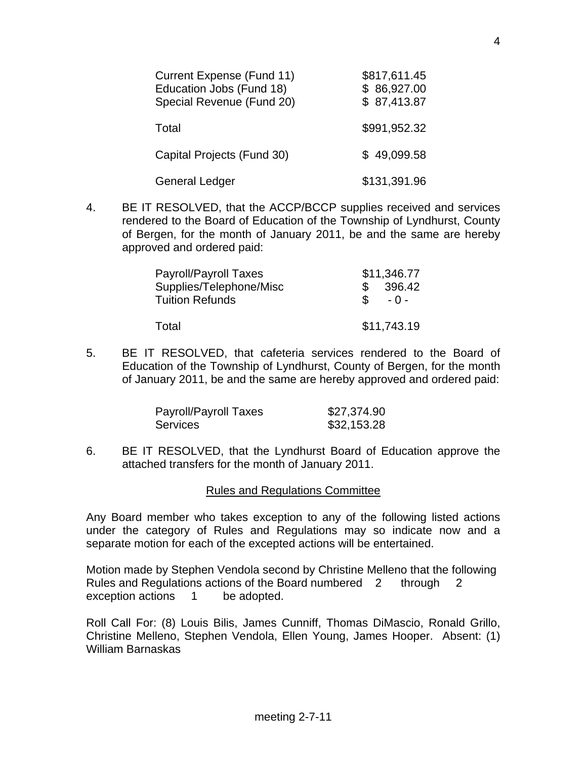| Current Expense (Fund 11)<br>Education Jobs (Fund 18)<br>Special Revenue (Fund 20) | \$817,611.45<br>\$86,927.00<br>\$87,413.87 |
|------------------------------------------------------------------------------------|--------------------------------------------|
| Total                                                                              | \$991,952.32                               |
| Capital Projects (Fund 30)                                                         | \$49,099.58                                |
| <b>General Ledger</b>                                                              | \$131,391.96                               |

4. BE IT RESOLVED, that the ACCP/BCCP supplies received and services rendered to the Board of Education of the Township of Lyndhurst, County of Bergen, for the month of January 2011, be and the same are hereby approved and ordered paid:

| <b>Payroll/Payroll Taxes</b> | \$11,346.77            |
|------------------------------|------------------------|
| Supplies/Telephone/Misc      | 396.42                 |
| <b>Tuition Refunds</b>       | $\mathcal{S}$<br>$-0-$ |
| Total                        | \$11,743.19            |

5. BE IT RESOLVED, that cafeteria services rendered to the Board of Education of the Township of Lyndhurst, County of Bergen, for the month of January 2011, be and the same are hereby approved and ordered paid:

| Payroll/Payroll Taxes | \$27,374.90 |
|-----------------------|-------------|
| <b>Services</b>       | \$32,153.28 |

6. BE IT RESOLVED, that the Lyndhurst Board of Education approve the attached transfers for the month of January 2011.

#### Rules and Regulations Committee

Any Board member who takes exception to any of the following listed actions under the category of Rules and Regulations may so indicate now and a separate motion for each of the excepted actions will be entertained.

Motion made by Stephen Vendola second by Christine Melleno that the following Rules and Regulations actions of the Board numbered 2 through 2 exception actions 1 be adopted.

Roll Call For: (8) Louis Bilis, James Cunniff, Thomas DiMascio, Ronald Grillo, Christine Melleno, Stephen Vendola, Ellen Young, James Hooper. Absent: (1) William Barnaskas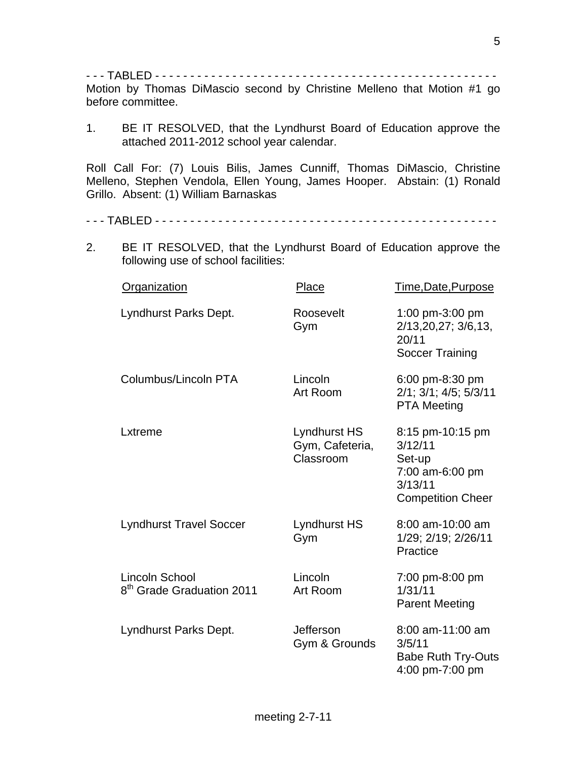- - - TABLED - - - - - - - - - - - - - - - - - - - - - - - - - - - - - - - - - - - - - - - - - - - - - - - - - Motion by Thomas DiMascio second by Christine Melleno that Motion #1 go before committee.

1. BE IT RESOLVED, that the Lyndhurst Board of Education approve the attached 2011-2012 school year calendar.

Roll Call For: (7) Louis Bilis, James Cunniff, Thomas DiMascio, Christine Melleno, Stephen Vendola, Ellen Young, James Hooper. Abstain: (1) Ronald Grillo. Absent: (1) William Barnaskas

- - TABLED - - - - - - - - - - - - - - - - - - - - - - - - -
- 2. BE IT RESOLVED, that the Lyndhurst Board of Education approve the following use of school facilities:

| <b>Organization</b>                                            | Place                                        | Time, Date, Purpose                                                                             |
|----------------------------------------------------------------|----------------------------------------------|-------------------------------------------------------------------------------------------------|
| Lyndhurst Parks Dept.                                          | Roosevelt<br>Gym                             | 1:00 pm-3:00 pm<br>2/13, 20, 27; 3/6, 13,<br>20/11<br>Soccer Training                           |
| Columbus/Lincoln PTA                                           | Lincoln<br>Art Room                          | 6:00 pm-8:30 pm<br>2/1; 3/1; 4/5; 5/3/11<br><b>PTA Meeting</b>                                  |
| Lxtreme                                                        | Lyndhurst HS<br>Gym, Cafeteria,<br>Classroom | 8:15 pm-10:15 pm<br>3/12/11<br>Set-up<br>7:00 am-6:00 pm<br>3/13/11<br><b>Competition Cheer</b> |
| <b>Lyndhurst Travel Soccer</b>                                 | Lyndhurst HS<br>Gym                          | 8:00 am-10:00 am<br>1/29; 2/19; 2/26/11<br>Practice                                             |
| <b>Lincoln School</b><br>8 <sup>th</sup> Grade Graduation 2011 | Lincoln<br>Art Room                          | 7:00 pm-8:00 pm<br>1/31/11<br><b>Parent Meeting</b>                                             |
| Lyndhurst Parks Dept.                                          | <b>Jefferson</b><br>Gym & Grounds            | 8:00 am-11:00 am<br>3/5/11<br><b>Babe Ruth Try-Outs</b><br>4:00 pm-7:00 pm                      |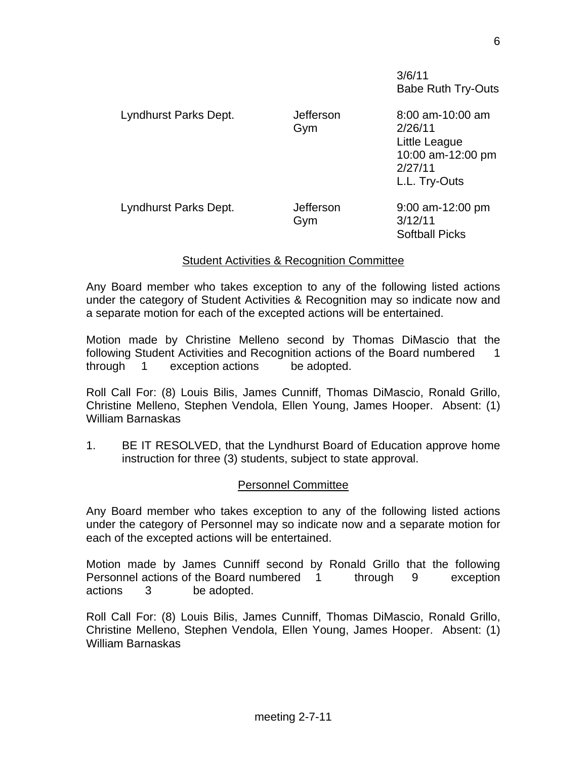3/6/11 Babe Ruth Try-Outs

| Lyndhurst Parks Dept. | Jefferson<br>Gym | 8:00 am-10:00 am<br>2/26/11<br>Little League<br>10:00 am-12:00 pm<br>2/27/11<br>L.L. Try-Outs |
|-----------------------|------------------|-----------------------------------------------------------------------------------------------|
| Lyndhurst Parks Dept. | Jefferson<br>Gym | $9:00$ am-12:00 pm<br>3/12/11<br><b>Softball Picks</b>                                        |

## Student Activities & Recognition Committee

Any Board member who takes exception to any of the following listed actions under the category of Student Activities & Recognition may so indicate now and a separate motion for each of the excepted actions will be entertained.

Motion made by Christine Melleno second by Thomas DiMascio that the following Student Activities and Recognition actions of the Board numbered 1 through 1 exception actions be adopted.

Roll Call For: (8) Louis Bilis, James Cunniff, Thomas DiMascio, Ronald Grillo, Christine Melleno, Stephen Vendola, Ellen Young, James Hooper. Absent: (1) William Barnaskas

1. BE IT RESOLVED, that the Lyndhurst Board of Education approve home instruction for three (3) students, subject to state approval.

## Personnel Committee

Any Board member who takes exception to any of the following listed actions under the category of Personnel may so indicate now and a separate motion for each of the excepted actions will be entertained.

Motion made by James Cunniff second by Ronald Grillo that the following Personnel actions of the Board numbered 1 through 9 exception actions 3 be adopted.

Roll Call For: (8) Louis Bilis, James Cunniff, Thomas DiMascio, Ronald Grillo, Christine Melleno, Stephen Vendola, Ellen Young, James Hooper. Absent: (1) William Barnaskas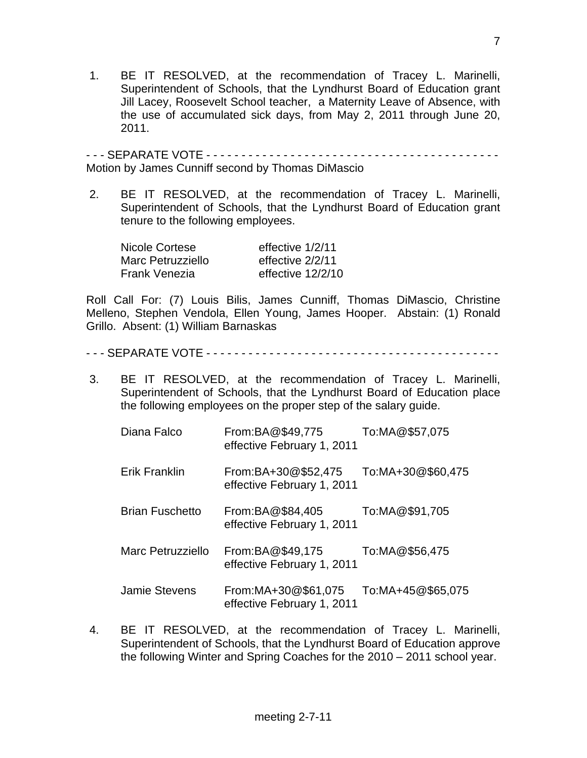1. BE IT RESOLVED, at the recommendation of Tracey L. Marinelli, Superintendent of Schools, that the Lyndhurst Board of Education grant Jill Lacey, Roosevelt School teacher, a Maternity Leave of Absence, with the use of accumulated sick days, from May 2, 2011 through June 20, 2011.

- - - SEPARATE VOTE - - - - - - - - - - - - - - - - - - - - - - - - - - - - - - - - - - - - - - - - - - Motion by James Cunniff second by Thomas DiMascio

 2. BE IT RESOLVED, at the recommendation of Tracey L. Marinelli, Superintendent of Schools, that the Lyndhurst Board of Education grant tenure to the following employees.

| Nicole Cortese       | effective 1/2/11  |
|----------------------|-------------------|
| Marc Petruzziello    | effective 2/2/11  |
| <b>Frank Venezia</b> | effective 12/2/10 |

Roll Call For: (7) Louis Bilis, James Cunniff, Thomas DiMascio, Christine Melleno, Stephen Vendola, Ellen Young, James Hooper. Abstain: (1) Ronald Grillo. Absent: (1) William Barnaskas

- - SEPARATE VOTE - - - - - - - - - - - - - - - - - - - - -
- 3. BE IT RESOLVED, at the recommendation of Tracey L. Marinelli, Superintendent of Schools, that the Lyndhurst Board of Education place the following employees on the proper step of the salary guide.

| Diana Falco            | From:BA@\$49,775<br>effective February 1, 2011     | To:MA@\$57,075    |
|------------------------|----------------------------------------------------|-------------------|
| Erik Franklin          | From:BA+30@\$52,475<br>effective February 1, 2011  | To:MA+30@\$60,475 |
| <b>Brian Fuschetto</b> | From:BA@\$84,405<br>effective February 1, 2011     | To:MA@\$91,705    |
| Marc Petruzziello      | From:BA@\$49,175<br>effective February 1, 2011     | To:MA@\$56,475    |
| Jamie Stevens          | From: MA+30@\$61,075<br>effective February 1, 2011 | To:MA+45@\$65,075 |

 4. BE IT RESOLVED, at the recommendation of Tracey L. Marinelli, Superintendent of Schools, that the Lyndhurst Board of Education approve the following Winter and Spring Coaches for the 2010 – 2011 school year.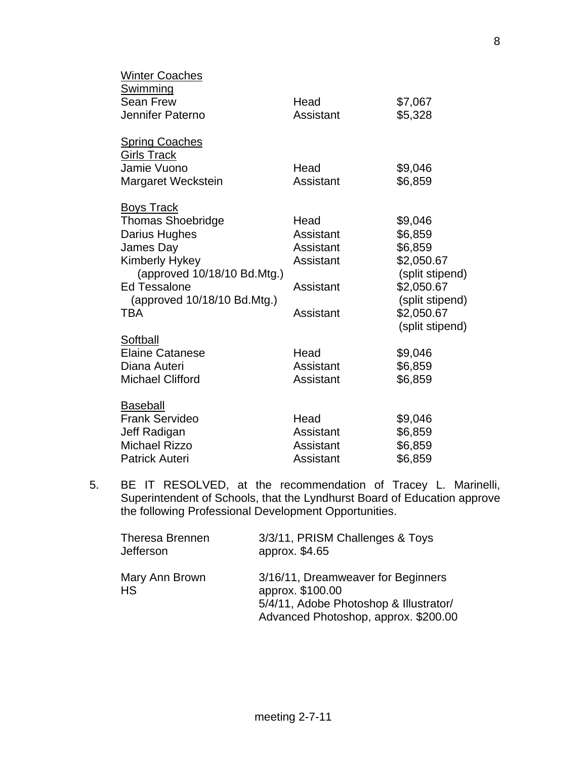| Winter Coaches              |           |                 |
|-----------------------------|-----------|-----------------|
| <u>Swimming</u>             |           |                 |
| <b>Sean Frew</b>            | Head      | \$7,067         |
| Jennifer Paterno            | Assistant | \$5,328         |
| <b>Spring Coaches</b>       |           |                 |
| <b>Girls Track</b>          |           |                 |
| Jamie Vuono                 | Head      | \$9,046         |
| Margaret Weckstein          | Assistant | \$6,859         |
| <b>Boys Track</b>           |           |                 |
| <b>Thomas Shoebridge</b>    | Head      | \$9,046         |
| Darius Hughes               | Assistant | \$6,859         |
| James Day                   | Assistant | \$6,859         |
| Kimberly Hykey              | Assistant | \$2,050.67      |
| (approved 10/18/10 Bd.Mtg.) |           | (split stipend) |
| <b>Ed Tessalone</b>         | Assistant | \$2,050.67      |
| (approved 10/18/10 Bd.Mtg.) |           | (split stipend) |
| <b>TBA</b>                  | Assistant | \$2,050.67      |
|                             |           | (split stipend) |
| Softball                    |           |                 |
| <b>Elaine Catanese</b>      | Head      | \$9,046         |
| Diana Auteri                | Assistant | \$6,859         |
| <b>Michael Clifford</b>     | Assistant | \$6,859         |
| <b>Baseball</b>             |           |                 |
| <b>Frank Servideo</b>       | Head      | \$9,046         |
| Jeff Radigan                | Assistant | \$6,859         |
| <b>Michael Rizzo</b>        | Assistant | \$6,859         |
| <b>Patrick Auteri</b>       | Assistant | \$6,859         |

 5. BE IT RESOLVED, at the recommendation of Tracey L. Marinelli, Superintendent of Schools, that the Lyndhurst Board of Education approve the following Professional Development Opportunities.

| <b>Theresa Brennen</b><br><b>Jefferson</b> | 3/3/11, PRISM Challenges & Toys<br>approx. \$4.65                                                                                        |
|--------------------------------------------|------------------------------------------------------------------------------------------------------------------------------------------|
| Mary Ann Brown<br><b>HS</b>                | 3/16/11, Dreamweaver for Beginners<br>approx. \$100.00<br>5/4/11, Adobe Photoshop & Illustrator/<br>Advanced Photoshop, approx. \$200.00 |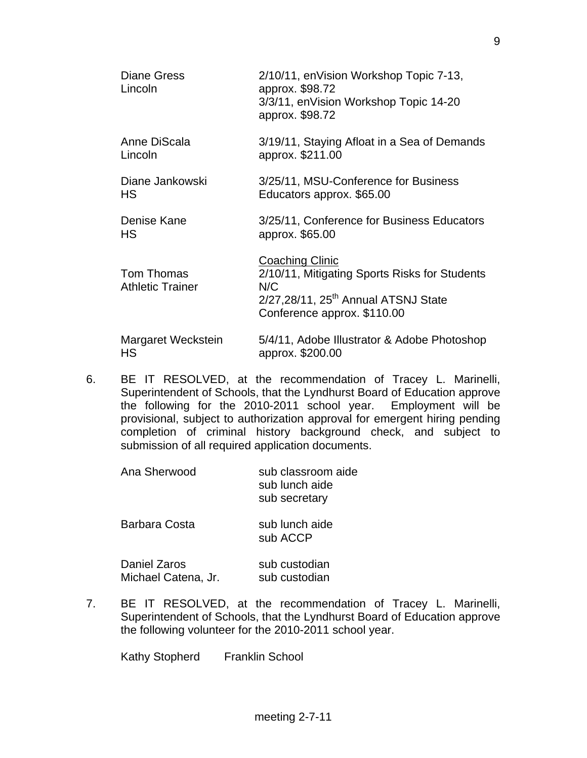| <b>Diane Gress</b><br>Lincoln         | 2/10/11, enVision Workshop Topic 7-13,<br>approx. \$98.72<br>3/3/11, enVision Workshop Topic 14-20<br>approx. \$98.72                                     |
|---------------------------------------|-----------------------------------------------------------------------------------------------------------------------------------------------------------|
| Anne DiScala<br>Lincoln               | 3/19/11, Staying Afloat in a Sea of Demands<br>approx. \$211.00                                                                                           |
| Diane Jankowski<br>НS                 | 3/25/11, MSU-Conference for Business<br>Educators approx. \$65.00                                                                                         |
| Denise Kane<br>HS.                    | 3/25/11, Conference for Business Educators<br>approx. \$65.00                                                                                             |
| Tom Thomas<br><b>Athletic Trainer</b> | Coaching Clinic<br>2/10/11, Mitigating Sports Risks for Students<br>N/C<br>2/27,28/11, 25 <sup>th</sup> Annual ATSNJ State<br>Conference approx. \$110.00 |
| Margaret Weckstein<br>НS              | 5/4/11, Adobe Illustrator & Adobe Photoshop<br>approx. \$200.00                                                                                           |

6. BE IT RESOLVED, at the recommendation of Tracey L. Marinelli, Superintendent of Schools, that the Lyndhurst Board of Education approve the following for the 2010-2011 school year. Employment will be provisional, subject to authorization approval for emergent hiring pending completion of criminal history background check, and subject to submission of all required application documents.

| Ana Sherwood                        | sub classroom aide<br>sub lunch aide<br>sub secretary |
|-------------------------------------|-------------------------------------------------------|
| Barbara Costa                       | sub lunch aide<br>sub ACCP                            |
| Daniel Zaros<br>Michael Catena, Jr. | sub custodian<br>sub custodian                        |

7. BE IT RESOLVED, at the recommendation of Tracey L. Marinelli, Superintendent of Schools, that the Lyndhurst Board of Education approve the following volunteer for the 2010-2011 school year.

Kathy Stopherd Franklin School